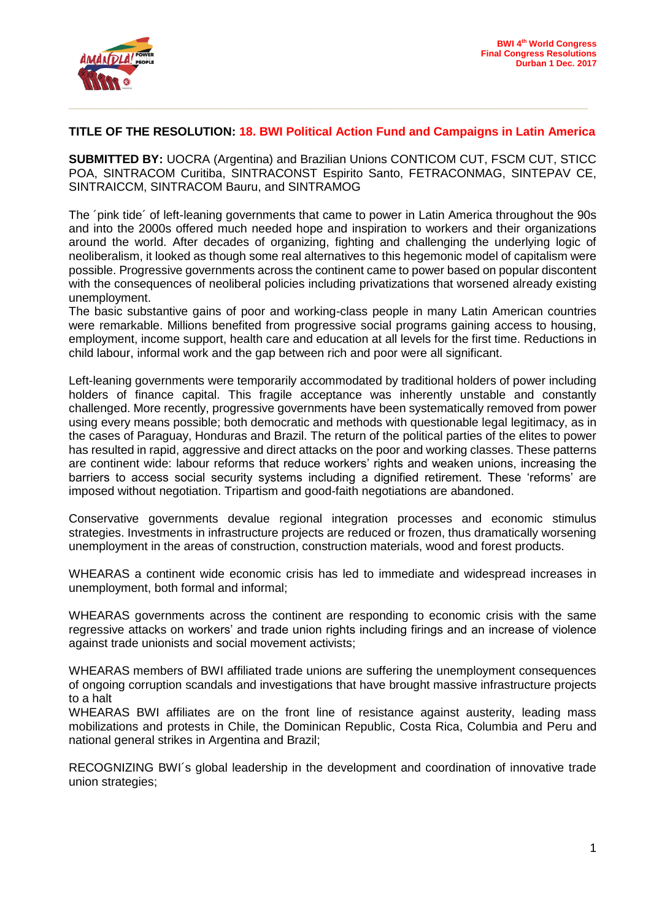

## **TITLE OF THE RESOLUTION: 18. BWI Political Action Fund and Campaigns in Latin America**

**SUBMITTED BY:** UOCRA (Argentina) and Brazilian Unions CONTICOM CUT, FSCM CUT, STICC POA, SINTRACOM Curitiba, SINTRACONST Espirito Santo, FETRACONMAG, SINTEPAV CE, SINTRAICCM, SINTRACOM Bauru, and SINTRAMOG

The ´pink tide´ of left-leaning governments that came to power in Latin America throughout the 90s and into the 2000s offered much needed hope and inspiration to workers and their organizations around the world. After decades of organizing, fighting and challenging the underlying logic of neoliberalism, it looked as though some real alternatives to this hegemonic model of capitalism were possible. Progressive governments across the continent came to power based on popular discontent with the consequences of neoliberal policies including privatizations that worsened already existing unemployment.

The basic substantive gains of poor and working-class people in many Latin American countries were remarkable. Millions benefited from progressive social programs gaining access to housing, employment, income support, health care and education at all levels for the first time. Reductions in child labour, informal work and the gap between rich and poor were all significant.

Left-leaning governments were temporarily accommodated by traditional holders of power including holders of finance capital. This fragile acceptance was inherently unstable and constantly challenged. More recently, progressive governments have been systematically removed from power using every means possible; both democratic and methods with questionable legal legitimacy, as in the cases of Paraguay, Honduras and Brazil. The return of the political parties of the elites to power has resulted in rapid, aggressive and direct attacks on the poor and working classes. These patterns are continent wide: labour reforms that reduce workers' rights and weaken unions, increasing the barriers to access social security systems including a dignified retirement. These 'reforms' are imposed without negotiation. Tripartism and good-faith negotiations are abandoned.

Conservative governments devalue regional integration processes and economic stimulus strategies. Investments in infrastructure projects are reduced or frozen, thus dramatically worsening unemployment in the areas of construction, construction materials, wood and forest products.

WHEARAS a continent wide economic crisis has led to immediate and widespread increases in unemployment, both formal and informal;

WHEARAS governments across the continent are responding to economic crisis with the same regressive attacks on workers' and trade union rights including firings and an increase of violence against trade unionists and social movement activists;

WHEARAS members of BWI affiliated trade unions are suffering the unemployment consequences of ongoing corruption scandals and investigations that have brought massive infrastructure projects to a halt

WHEARAS BWI affiliates are on the front line of resistance against austerity, leading mass mobilizations and protests in Chile, the Dominican Republic, Costa Rica, Columbia and Peru and national general strikes in Argentina and Brazil;

RECOGNIZING BWI´s global leadership in the development and coordination of innovative trade union strategies;